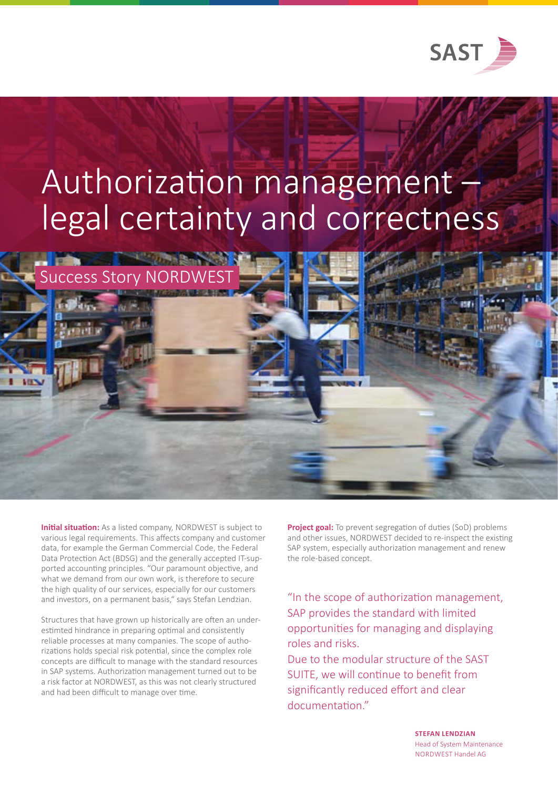

## Authorization management legal certainty and correctness

**Initial situation:** As a listed company, NORDWEST is subject to various legal requirements. This affects company and customer data, for example the German Commercial Code, the Federal Data Protection Act (BDSG) and the generally accepted IT-supported accounting principles. "Our paramount objective, and what we demand from our own work, is therefore to secure the high quality of our services, especially for our customers and investors, on a permanent basis," says Stefan Lendzian.

**Success Story NORDW** 

Structures that have grown up historically are often an underestimted hindrance in preparing optimal and consistently reliable processes at many companies. The scope of authorizations holds special risk potential, since the complex role concepts are difficult to manage with the standard resources in SAP systems. Authorization management turned out to be a risk factor at NORDWEST, as this was not clearly structured and had been difficult to manage over time.

**Project goal:** To prevent segregation of duties (SoD) problems and other issues, NORDWEST decided to re-inspect the existing SAP system, especially authorization management and renew the role-based concept.

"In the scope of authorization management, SAP provides the standard with limited opportunities for managing and displaying roles and risks.

Due to the modular structure of the SAST SUITE, we will continue to benefit from significantly reduced effort and clear documentation."

> **STEFAN LENDZIAN**  Head of System Maintenance NORDWEST Handel AG